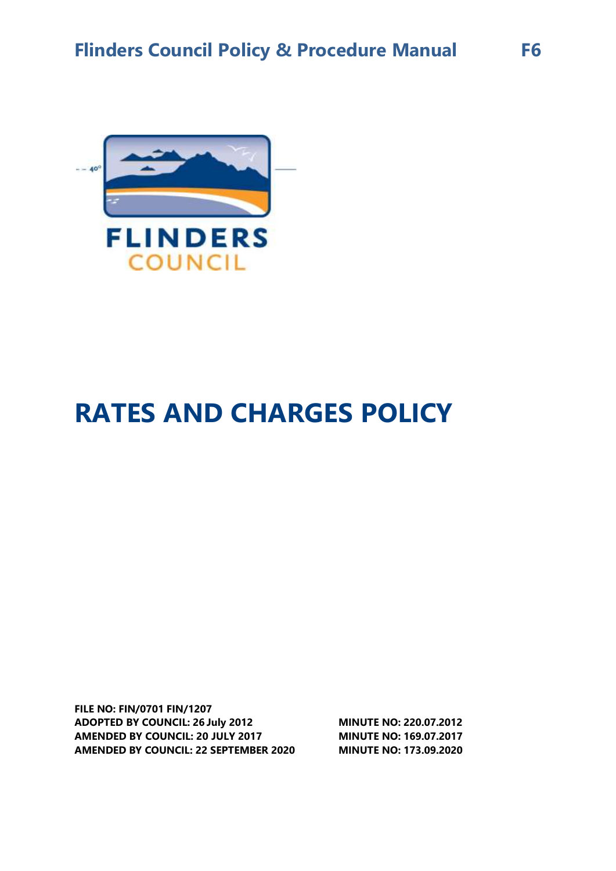

# **RATES AND CHARGES POLICY**

**FILE NO: FIN/0701 FIN/1207 ADOPTED BY COUNCIL: 26 July 2012 AMENDED BY COUNCIL: 20 JULY 2017 AMENDED BY COUNCIL: 22 SEPTEMBER 2020 MINUTE NO: 173.09.2020**

**MINUTE NO: 220.07.2012 MINUTE NO: 169.07.2017**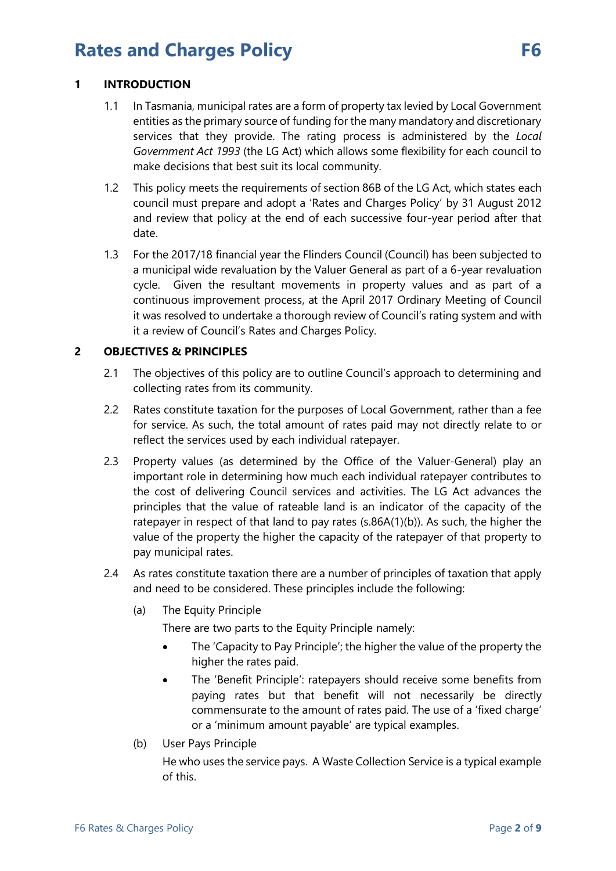### **1 INTRODUCTION**

- 1.1 In Tasmania, municipal rates are a form of property tax levied by Local Government entities as the primary source of funding for the many mandatory and discretionary services that they provide. The rating process is administered by the *Local Government Act 1993* (the LG Act) which allows some flexibility for each council to make decisions that best suit its local community.
- 1.2 This policy meets the requirements of section 86B of the LG Act, which states each council must prepare and adopt a 'Rates and Charges Policy' by 31 August 2012 and review that policy at the end of each successive four-year period after that date.
- 1.3 For the 2017/18 financial year the Flinders Council (Council) has been subjected to a municipal wide revaluation by the Valuer General as part of a 6-year revaluation cycle. Given the resultant movements in property values and as part of a continuous improvement process, at the April 2017 Ordinary Meeting of Council it was resolved to undertake a thorough review of Council's rating system and with it a review of Council's Rates and Charges Policy.

### **2 OBJECTIVES & PRINCIPLES**

- 2.1 The objectives of this policy are to outline Council's approach to determining and collecting rates from its community.
- 2.2 Rates constitute taxation for the purposes of Local Government, rather than a fee for service. As such, the total amount of rates paid may not directly relate to or reflect the services used by each individual ratepayer.
- 2.3 Property values (as determined by the Office of the Valuer-General) play an important role in determining how much each individual ratepayer contributes to the cost of delivering Council services and activities. The LG Act advances the principles that the value of rateable land is an indicator of the capacity of the ratepayer in respect of that land to pay rates (s.86A(1)(b)). As such, the higher the value of the property the higher the capacity of the ratepayer of that property to pay municipal rates.
- 2.4 As rates constitute taxation there are a number of principles of taxation that apply and need to be considered. These principles include the following:
	- (a) The Equity Principle

There are two parts to the Equity Principle namely:

- The 'Capacity to Pay Principle'; the higher the value of the property the higher the rates paid.
- The 'Benefit Principle': ratepayers should receive some benefits from paying rates but that benefit will not necessarily be directly commensurate to the amount of rates paid. The use of a 'fixed charge' or a 'minimum amount payable' are typical examples.
- (b) User Pays Principle

He who uses the service pays. A Waste Collection Service is a typical example of this.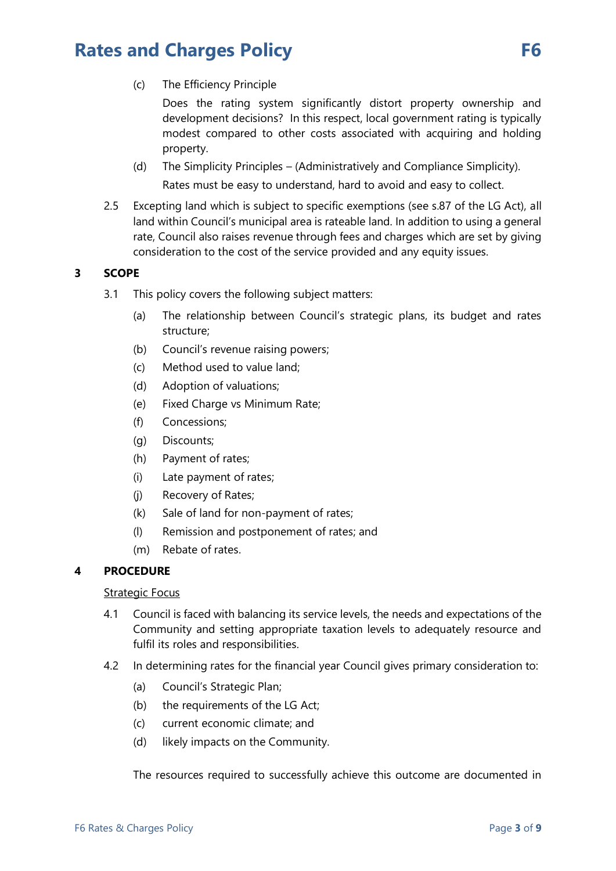(c) The Efficiency Principle

Does the rating system significantly distort property ownership and development decisions? In this respect, local government rating is typically modest compared to other costs associated with acquiring and holding property.

- (d) The Simplicity Principles (Administratively and Compliance Simplicity). Rates must be easy to understand, hard to avoid and easy to collect.
- 2.5 Excepting land which is subject to specific exemptions (see s.87 of the LG Act), all land within Council's municipal area is rateable land. In addition to using a general rate, Council also raises revenue through fees and charges which are set by giving consideration to the cost of the service provided and any equity issues.

### **3 SCOPE**

- 3.1 This policy covers the following subject matters:
	- (a) The relationship between Council's strategic plans, its budget and rates structure;
	- (b) Council's revenue raising powers;
	- (c) Method used to value land;
	- (d) Adoption of valuations;
	- (e) Fixed Charge vs Minimum Rate;
	- (f) Concessions;
	- (g) Discounts;
	- (h) Payment of rates;
	- (i) Late payment of rates;
	- (j) Recovery of Rates;
	- (k) Sale of land for non-payment of rates;
	- (l) Remission and postponement of rates; and
	- (m) Rebate of rates.

#### **4 PROCEDURE**

#### Strategic Focus

- 4.1 Council is faced with balancing its service levels, the needs and expectations of the Community and setting appropriate taxation levels to adequately resource and fulfil its roles and responsibilities.
- 4.2 In determining rates for the financial year Council gives primary consideration to:
	- (a) Council's Strategic Plan;
	- (b) the requirements of the LG Act;
	- (c) current economic climate; and
	- (d) likely impacts on the Community.

The resources required to successfully achieve this outcome are documented in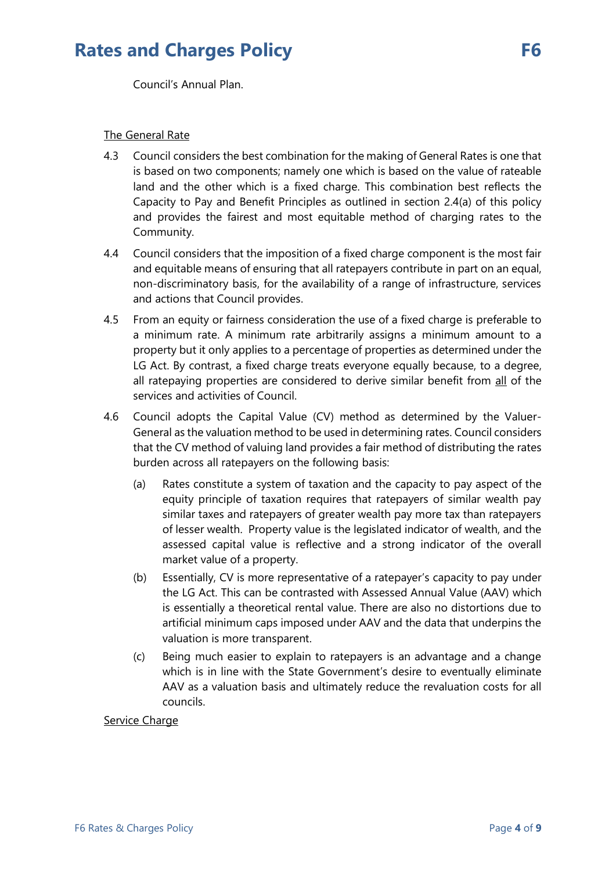Council's Annual Plan.

### The General Rate

- 4.3 Council considers the best combination for the making of General Rates is one that is based on two components; namely one which is based on the value of rateable land and the other which is a fixed charge. This combination best reflects the Capacity to Pay and Benefit Principles as outlined in section 2.4(a) of this policy and provides the fairest and most equitable method of charging rates to the Community.
- 4.4 Council considers that the imposition of a fixed charge component is the most fair and equitable means of ensuring that all ratepayers contribute in part on an equal, non-discriminatory basis, for the availability of a range of infrastructure, services and actions that Council provides.
- 4.5 From an equity or fairness consideration the use of a fixed charge is preferable to a minimum rate. A minimum rate arbitrarily assigns a minimum amount to a property but it only applies to a percentage of properties as determined under the LG Act. By contrast, a fixed charge treats everyone equally because, to a degree, all ratepaying properties are considered to derive similar benefit from all of the services and activities of Council.
- 4.6 Council adopts the Capital Value (CV) method as determined by the Valuer-General as the valuation method to be used in determining rates. Council considers that the CV method of valuing land provides a fair method of distributing the rates burden across all ratepayers on the following basis:
	- (a) Rates constitute a system of taxation and the capacity to pay aspect of the equity principle of taxation requires that ratepayers of similar wealth pay similar taxes and ratepayers of greater wealth pay more tax than ratepayers of lesser wealth. Property value is the legislated indicator of wealth, and the assessed capital value is reflective and a strong indicator of the overall market value of a property.
	- (b) Essentially, CV is more representative of a ratepayer's capacity to pay under the LG Act. This can be contrasted with Assessed Annual Value (AAV) which is essentially a theoretical rental value. There are also no distortions due to artificial minimum caps imposed under AAV and the data that underpins the valuation is more transparent.
	- (c) Being much easier to explain to ratepayers is an advantage and a change which is in line with the State Government's desire to eventually eliminate AAV as a valuation basis and ultimately reduce the revaluation costs for all councils.

#### Service Charge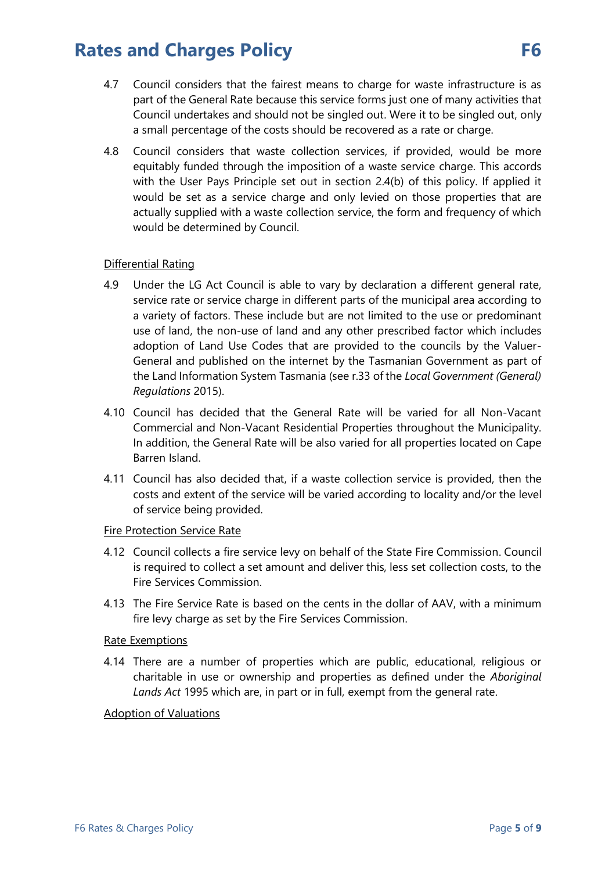- 4.7 Council considers that the fairest means to charge for waste infrastructure is as part of the General Rate because this service forms just one of many activities that Council undertakes and should not be singled out. Were it to be singled out, only a small percentage of the costs should be recovered as a rate or charge.
- 4.8 Council considers that waste collection services, if provided, would be more equitably funded through the imposition of a waste service charge. This accords with the User Pays Principle set out in section 2.4(b) of this policy. If applied it would be set as a service charge and only levied on those properties that are actually supplied with a waste collection service, the form and frequency of which would be determined by Council.

### Differential Rating

- 4.9 Under the LG Act Council is able to vary by declaration a different general rate, service rate or service charge in different parts of the municipal area according to a variety of factors. These include but are not limited to the use or predominant use of land, the non-use of land and any other prescribed factor which includes adoption of Land Use Codes that are provided to the councils by the Valuer-General and published on the internet by the Tasmanian Government as part of the Land Information System Tasmania (see r.33 of the *Local Government (General) Regulations* 2015).
- 4.10 Council has decided that the General Rate will be varied for all Non-Vacant Commercial and Non-Vacant Residential Properties throughout the Municipality. In addition, the General Rate will be also varied for all properties located on Cape Barren Island.
- 4.11 Council has also decided that, if a waste collection service is provided, then the costs and extent of the service will be varied according to locality and/or the level of service being provided.

### Fire Protection Service Rate

- 4.12 Council collects a fire service levy on behalf of the State Fire Commission. Council is required to collect a set amount and deliver this, less set collection costs, to the Fire Services Commission.
- 4.13 The Fire Service Rate is based on the cents in the dollar of AAV, with a minimum fire levy charge as set by the Fire Services Commission.

#### Rate Exemptions

4.14 There are a number of properties which are public, educational, religious or charitable in use or ownership and properties as defined under the *Aboriginal Lands Act* 1995 which are, in part or in full, exempt from the general rate.

#### Adoption of Valuations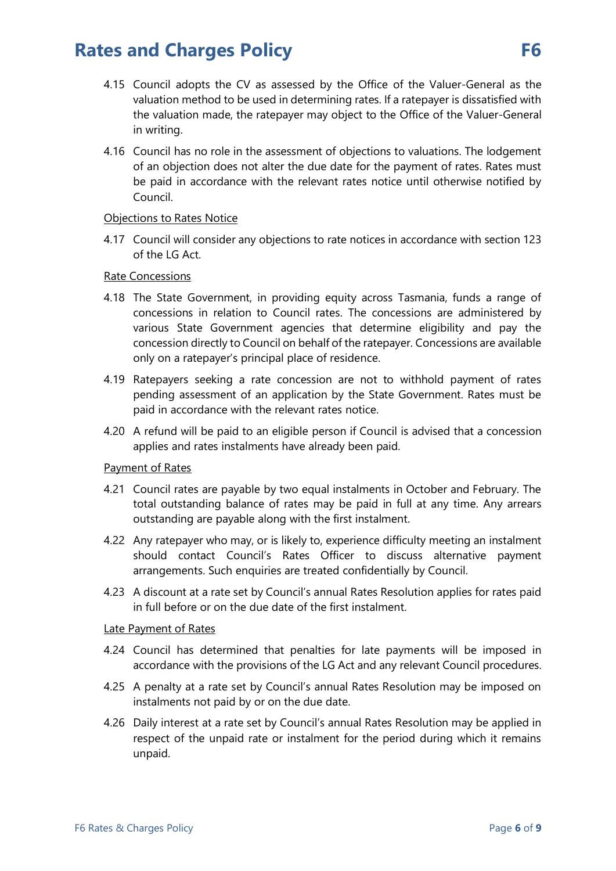- 4.15 Council adopts the CV as assessed by the Office of the Valuer-General as the valuation method to be used in determining rates. If a ratepayer is dissatisfied with the valuation made, the ratepayer may object to the Office of the Valuer-General in writing.
- 4.16 Council has no role in the assessment of objections to valuations. The lodgement of an objection does not alter the due date for the payment of rates. Rates must be paid in accordance with the relevant rates notice until otherwise notified by Council.

#### Objections to Rates Notice

4.17 Council will consider any objections to rate notices in accordance with section 123 of the LG Act.

### Rate Concessions

- 4.18 The State Government, in providing equity across Tasmania, funds a range of concessions in relation to Council rates. The concessions are administered by various State Government agencies that determine eligibility and pay the concession directly to Council on behalf of the ratepayer. Concessions are available only on a ratepayer's principal place of residence.
- 4.19 Ratepayers seeking a rate concession are not to withhold payment of rates pending assessment of an application by the State Government. Rates must be paid in accordance with the relevant rates notice.
- 4.20 A refund will be paid to an eligible person if Council is advised that a concession applies and rates instalments have already been paid.

### Payment of Rates

- 4.21 Council rates are payable by two equal instalments in October and February. The total outstanding balance of rates may be paid in full at any time. Any arrears outstanding are payable along with the first instalment.
- 4.22 Any ratepayer who may, or is likely to, experience difficulty meeting an instalment should contact Council's Rates Officer to discuss alternative payment arrangements. Such enquiries are treated confidentially by Council.
- 4.23 A discount at a rate set by Council's annual Rates Resolution applies for rates paid in full before or on the due date of the first instalment.

### Late Payment of Rates

- 4.24 Council has determined that penalties for late payments will be imposed in accordance with the provisions of the LG Act and any relevant Council procedures.
- 4.25 A penalty at a rate set by Council's annual Rates Resolution may be imposed on instalments not paid by or on the due date.
- 4.26 Daily interest at a rate set by Council's annual Rates Resolution may be applied in respect of the unpaid rate or instalment for the period during which it remains unpaid.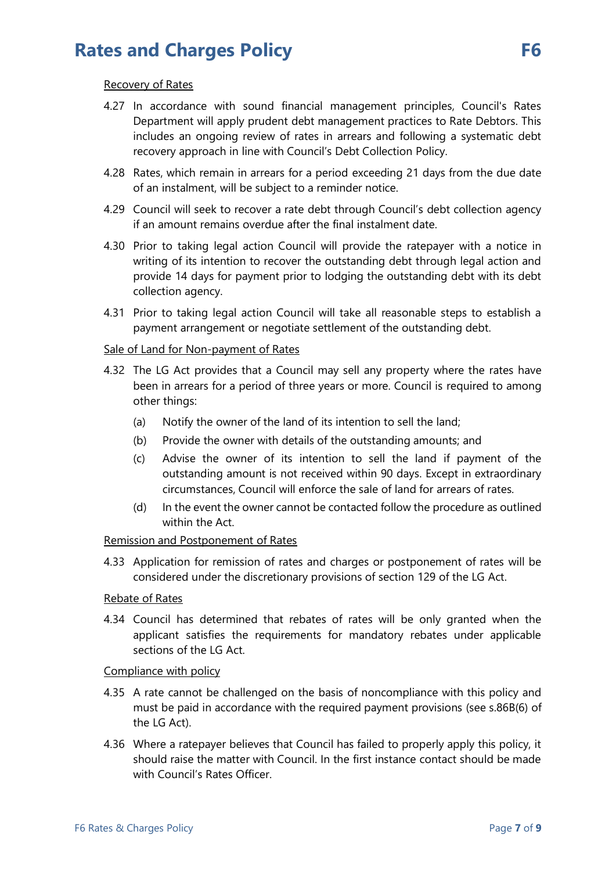#### Recovery of Rates

- 4.27 In accordance with sound financial management principles, Council's Rates Department will apply prudent debt management practices to Rate Debtors. This includes an ongoing review of rates in arrears and following a systematic debt recovery approach in line with Council's Debt Collection Policy.
- 4.28 Rates, which remain in arrears for a period exceeding 21 days from the due date of an instalment, will be subject to a reminder notice.
- 4.29 Council will seek to recover a rate debt through Council's debt collection agency if an amount remains overdue after the final instalment date.
- 4.30 Prior to taking legal action Council will provide the ratepayer with a notice in writing of its intention to recover the outstanding debt through legal action and provide 14 days for payment prior to lodging the outstanding debt with its debt collection agency.
- 4.31 Prior to taking legal action Council will take all reasonable steps to establish a payment arrangement or negotiate settlement of the outstanding debt.

#### Sale of Land for Non-payment of Rates

- 4.32 The LG Act provides that a Council may sell any property where the rates have been in arrears for a period of three years or more. Council is required to among other things:
	- (a) Notify the owner of the land of its intention to sell the land;
	- (b) Provide the owner with details of the outstanding amounts; and
	- (c) Advise the owner of its intention to sell the land if payment of the outstanding amount is not received within 90 days. Except in extraordinary circumstances, Council will enforce the sale of land for arrears of rates.
	- (d) In the event the owner cannot be contacted follow the procedure as outlined within the Act.

### Remission and Postponement of Rates

4.33 Application for remission of rates and charges or postponement of rates will be considered under the discretionary provisions of section 129 of the LG Act.

#### Rebate of Rates

4.34 Council has determined that rebates of rates will be only granted when the applicant satisfies the requirements for mandatory rebates under applicable sections of the LG Act.

#### Compliance with policy

- 4.35 A rate cannot be challenged on the basis of noncompliance with this policy and must be paid in accordance with the required payment provisions (see s.86B(6) of the LG Act).
- 4.36 Where a ratepayer believes that Council has failed to properly apply this policy, it should raise the matter with Council. In the first instance contact should be made with Council's Rates Officer.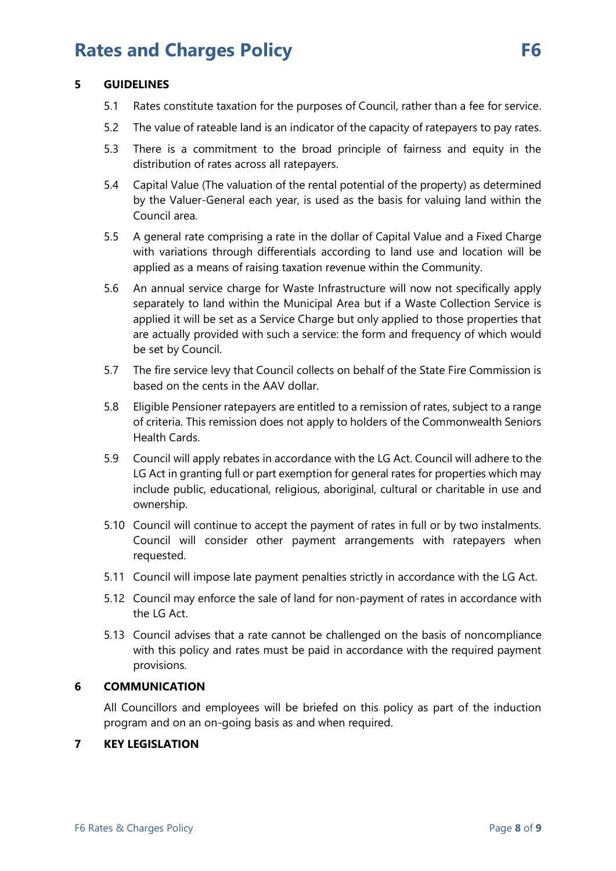### **5 GUIDELINES**

- 5.1 Rates constitute taxation for the purposes of Council, rather than a fee for service.
- 5.2 The value of rateable land is an indicator of the capacity of ratepayers to pay rates.
- 5.3 There is a commitment to the broad principle of fairness and equity in the distribution of rates across all ratepayers.
- 5.4 Capital Value (The valuation of the rental potential of the property) as determined by the Valuer-General each year, is used as the basis for valuing land within the Council area.
- 5.5 A general rate comprising a rate in the dollar of Capital Value and a Fixed Charge with variations through differentials according to land use and location will be applied as a means of raising taxation revenue within the Community.
- 5.6 An annual service charge for Waste Infrastructure will now not specifically apply separately to land within the Municipal Area but if a Waste Collection Service is applied it will be set as a Service Charge but only applied to those properties that are actually provided with such a service: the form and frequency of which would be set by Council.
- 5.7 The fire service levy that Council collects on behalf of the State Fire Commission is based on the cents in the AAV dollar.
- 5.8 Eligible Pensioner ratepayers are entitled to a remission of rates, subject to a range of criteria. This remission does not apply to holders of the Commonwealth Seniors Health Cards.
- 5.9 Council will apply rebates in accordance with the LG Act. Council will adhere to the LG Act in granting full or part exemption for general rates for properties which may include public, educational, religious, aboriginal, cultural or charitable in use and ownership.
- 5.10 Council will continue to accept the payment of rates in full or by two instalments. Council will consider other payment arrangements with ratepayers when requested.
- 5.11 Council will impose late payment penalties strictly in accordance with the LG Act.
- 5.12 Council may enforce the sale of land for non-payment of rates in accordance with the LG Act.
- 5.13 Council advises that a rate cannot be challenged on the basis of noncompliance with this policy and rates must be paid in accordance with the required payment provisions.

# **6 COMMUNICATION**

All Councillors and employees will be briefed on this policy as part of the induction program and on an on-going basis as and when required.

### **7 KEY LEGISLATION**